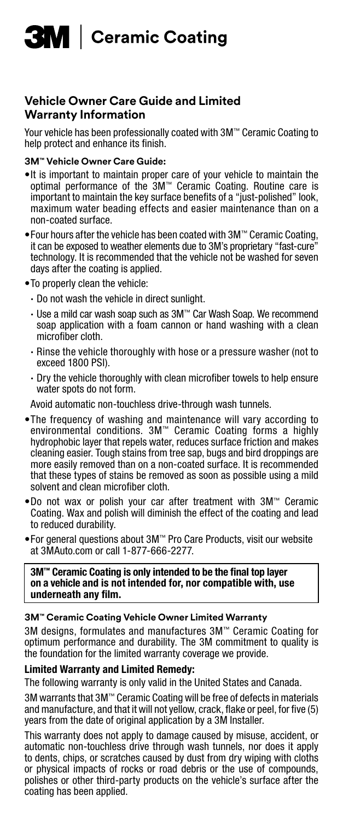

## **Vehicle Owner Care Guide and Limited Warranty Information**

Your vehicle has been professionally coated with 3M™ Ceramic Coating to help protect and enhance its finish.

#### **3M™ Vehicle Owner Care Guide:**

- •It is important to maintain proper care of your vehicle to maintain the optimal performance of the 3M™ Ceramic Coating. Routine care is important to maintain the key surface benefits of a "just-polished" look, maximum water beading effects and easier maintenance than on a non-coated surface.
- •Four hours after the vehicle has been coated with 3M™ Ceramic Coating, it can be exposed to weather elements due to 3M's proprietary "fast-cure" technology. It is recommended that the vehicle not be washed for seven days after the coating is applied.
- •To properly clean the vehicle:
	- · Do not wash the vehicle in direct sunlight.
	- · Use a mild car wash soap such as 3M™ Car Wash Soap. We recommend soap application with a foam cannon or hand washing with a clean microfiber cloth.
	- · Rinse the vehicle thoroughly with hose or a pressure washer (not to exceed 1800 PSI).
	- · Dry the vehicle thoroughly with clean microfiber towels to help ensure water spots do not form.

Avoid automatic non-touchless drive-through wash tunnels.

- •The frequency of washing and maintenance will vary according to environmental conditions. 3M™ Ceramic Coating forms a highly hydrophobic layer that repels water, reduces surface friction and makes cleaning easier. Tough stains from tree sap, bugs and bird droppings are more easily removed than on a non-coated surface. It is recommended that these types of stains be removed as soon as possible using a mild solvent and clean microfiber cloth.
- •Do not wax or polish your car after treatment with 3M™ Ceramic Coating. Wax and polish will diminish the effect of the coating and lead to reduced durability.
- •For general questions about 3M™ Pro Care Products, visit our website at 3MAuto.com or call 1-877-666-2277.

3M™ Ceramic Coating is only intended to be the final top layer on a vehicle and is not intended for, nor compatible with, use underneath any film.

#### **3M™ Ceramic Coating Vehicle Owner Limited Warranty**

3M designs, formulates and manufactures 3M™ Ceramic Coating for optimum performance and durability. The 3M commitment to quality is the foundation for the limited warranty coverage we provide.

### Limited Warranty and Limited Remedy:

The following warranty is only valid in the United States and Canada.

3M warrants that 3M™ Ceramic Coating will be free of defects in materials and manufacture, and that it will not yellow, crack, flake or peel, for five (5) years from the date of original application by a 3M Installer.

This warranty does not apply to damage caused by misuse, accident, or automatic non-touchless drive through wash tunnels, nor does it apply to dents, chips, or scratches caused by dust from dry wiping with cloths or physical impacts of rocks or road debris or the use of compounds, polishes or other third-party products on the vehicle's surface after the coating has been applied.